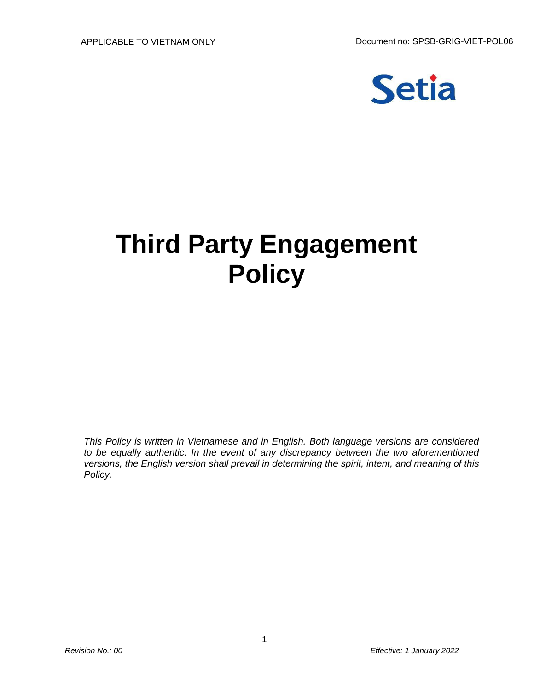

## **Third Party Engagement Policy**

*This Policy is written in Vietnamese and in English. Both language versions are considered to be equally authentic. In the event of any discrepancy between the two aforementioned versions, the English version shall prevail in determining the spirit, intent, and meaning of this Policy.*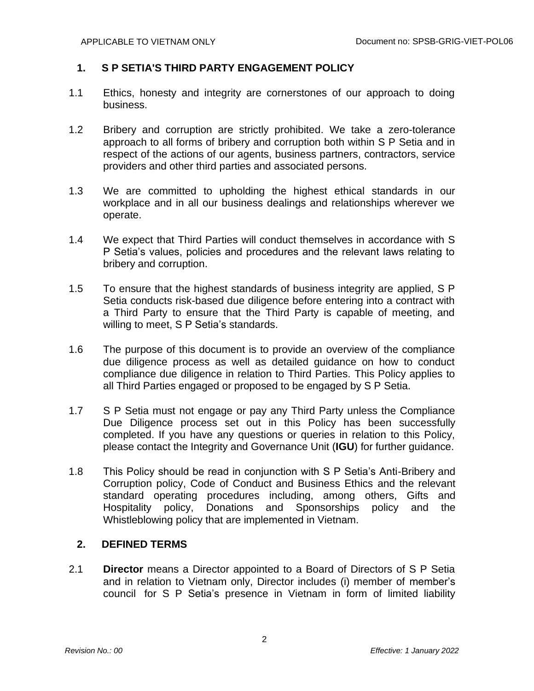## **1. S P SETIA'S THIRD PARTY ENGAGEMENT POLICY**

- 1.1 Ethics, honesty and integrity are cornerstones of our approach to doing business.
- 1.2 Bribery and corruption are strictly prohibited. We take a zero-tolerance approach to all forms of bribery and corruption both within S P Setia and in respect of the actions of our agents, business partners, contractors, service providers and other third parties and associated persons.
- 1.3 We are committed to upholding the highest ethical standards in our workplace and in all our business dealings and relationships wherever we operate.
- 1.4 We expect that Third Parties will conduct themselves in accordance with S P Setia's values, policies and procedures and the relevant laws relating to bribery and corruption.
- 1.5 To ensure that the highest standards of business integrity are applied, S P Setia conducts risk-based due diligence before entering into a contract with a Third Party to ensure that the Third Party is capable of meeting, and willing to meet, S P Setia's standards.
- 1.6 The purpose of this document is to provide an overview of the compliance due diligence process as well as detailed guidance on how to conduct compliance due diligence in relation to Third Parties. This Policy applies to all Third Parties engaged or proposed to be engaged by S P Setia.
- 1.7 S P Setia must not engage or pay any Third Party unless the Compliance Due Diligence process set out in this Policy has been successfully completed. If you have any questions or queries in relation to this Policy, please contact the Integrity and Governance Unit (**IGU**) for further guidance.
- 1.8 This Policy should be read in conjunction with S P Setia's Anti-Bribery and Corruption policy, Code of Conduct and Business Ethics and the relevant standard operating procedures including, among others, Gifts and Hospitality policy, Donations and Sponsorships policy and the Whistleblowing policy that are implemented in Vietnam.

## **2. DEFINED TERMS**

2.1 **Director** means a Director appointed to a Board of Directors of S P Setia and in relation to Vietnam only, Director includes (i) member of member's council for S P Setia's presence in Vietnam in form of limited liability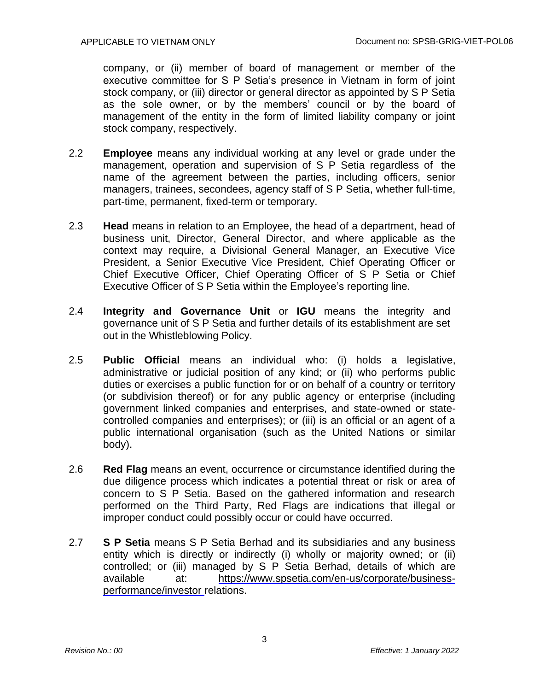company, or (ii) member of board of management or member of the executive committee for S P Setia's presence in Vietnam in form of joint stock company, or (iii) director or general director as appointed by S P Setia as the sole owner, or by the members' council or by the board of management of the entity in the form of limited liability company or joint stock company, respectively.

- 2.2 **Employee** means any individual working at any level or grade under the management, operation and supervision of S P Setia regardless of the name of the agreement between the parties, including officers, senior managers, trainees, secondees, agency staff of S P Setia, whether full-time, part-time, permanent, fixed-term or temporary.
- 2.3 **Head** means in relation to an Employee, the head of a department, head of business unit, Director, General Director, and where applicable as the context may require, a Divisional General Manager, an Executive Vice President, a Senior Executive Vice President, Chief Operating Officer or Chief Executive Officer, Chief Operating Officer of S P Setia or Chief Executive Officer of S P Setia within the Employee's reporting line.
- 2.4 **Integrity and Governance Unit** or **IGU** means the integrity and governance unit of S P Setia and further details of its establishment are set out in the Whistleblowing Policy.
- 2.5 **Public Official** means an individual who: (i) holds a legislative, administrative or judicial position of any kind; or (ii) who performs public duties or exercises a public function for or on behalf of a country or territory (or subdivision thereof) or for any public agency or enterprise (including government linked companies and enterprises, and state-owned or statecontrolled companies and enterprises); or (iii) is an official or an agent of a public international organisation (such as the United Nations or similar body).
- 2.6 **Red Flag** means an event, occurrence or circumstance identified during the due diligence process which indicates a potential threat or risk or area of concern to S P Setia. Based on the gathered information and research performed on the Third Party, Red Flags are indications that illegal or improper conduct could possibly occur or could have occurred.
- 2.7 **S P Setia** means S P Setia Berhad and its subsidiaries and any business entity which is directly or indirectly (i) wholly or majority owned; or (ii) controlled; or (iii) managed by S P Setia Berhad, details of which are available at: [https://www.spsetia.com/en-us/corporate/business](https://www.spsetia.com/en-us/corporate/business-performance/investor)[performance/investor](https://www.spsetia.com/en-us/corporate/business-performance/investor) relations.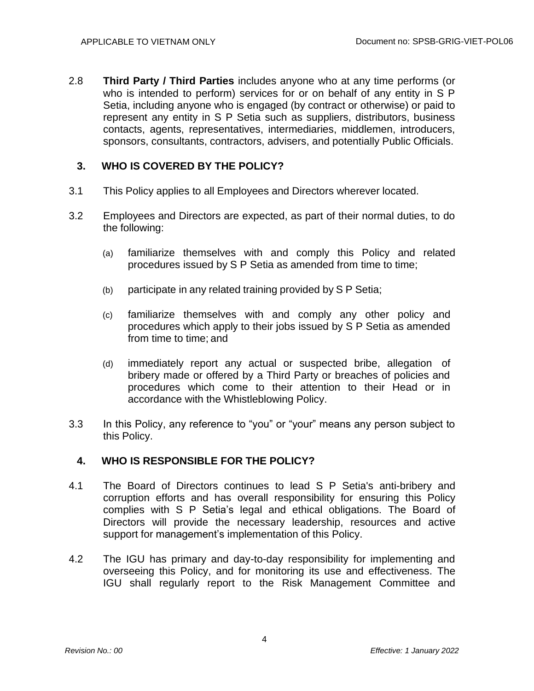2.8 **Third Party / Third Parties** includes anyone who at any time performs (or who is intended to perform) services for or on behalf of any entity in S P Setia, including anyone who is engaged (by contract or otherwise) or paid to represent any entity in S P Setia such as suppliers, distributors, business contacts, agents, representatives, intermediaries, middlemen, introducers, sponsors, consultants, contractors, advisers, and potentially Public Officials.

## **3. WHO IS COVERED BY THE POLICY?**

- 3.1 This Policy applies to all Employees and Directors wherever located.
- 3.2 Employees and Directors are expected, as part of their normal duties, to do the following:
	- (a) familiarize themselves with and comply this Policy and related procedures issued by S P Setia as amended from time to time;
	- (b) participate in any related training provided by S P Setia;
	- (c) familiarize themselves with and comply any other policy and procedures which apply to their jobs issued by S P Setia as amended from time to time; and
	- (d) immediately report any actual or suspected bribe, allegation of bribery made or offered by a Third Party or breaches of policies and procedures which come to their attention to their Head or in accordance with the Whistleblowing Policy.
- 3.3 In this Policy, any reference to "you" or "your" means any person subject to this Policy.

## **4. WHO IS RESPONSIBLE FOR THE POLICY?**

- 4.1 The Board of Directors continues to lead S P Setia's anti-bribery and corruption efforts and has overall responsibility for ensuring this Policy complies with S P Setia's legal and ethical obligations. The Board of Directors will provide the necessary leadership, resources and active support for management's implementation of this Policy.
- 4.2 The IGU has primary and day-to-day responsibility for implementing and overseeing this Policy, and for monitoring its use and effectiveness. The IGU shall regularly report to the Risk Management Committee and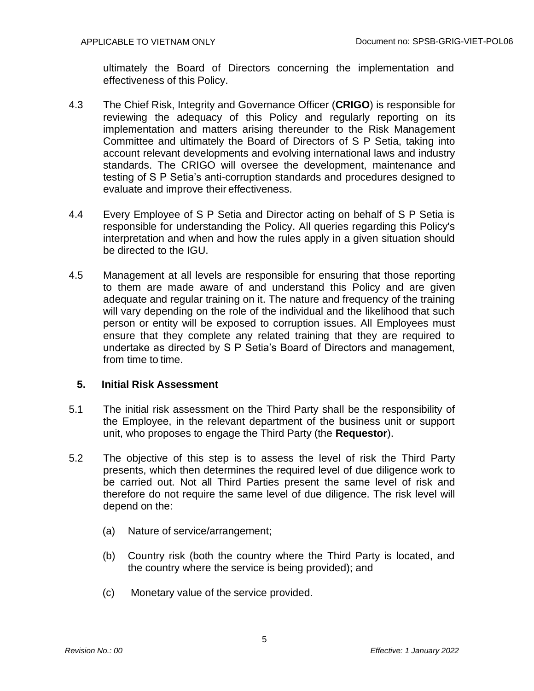ultimately the Board of Directors concerning the implementation and effectiveness of this Policy.

- 4.3 The Chief Risk, Integrity and Governance Officer (**CRIGO**) is responsible for reviewing the adequacy of this Policy and regularly reporting on its implementation and matters arising thereunder to the Risk Management Committee and ultimately the Board of Directors of S P Setia, taking into account relevant developments and evolving international laws and industry standards. The CRIGO will oversee the development, maintenance and testing of S P Setia's anti-corruption standards and procedures designed to evaluate and improve their effectiveness.
- 4.4 Every Employee of S P Setia and Director acting on behalf of S P Setia is responsible for understanding the Policy. All queries regarding this Policy's interpretation and when and how the rules apply in a given situation should be directed to the IGU.
- 4.5 Management at all levels are responsible for ensuring that those reporting to them are made aware of and understand this Policy and are given adequate and regular training on it. The nature and frequency of the training will vary depending on the role of the individual and the likelihood that such person or entity will be exposed to corruption issues. All Employees must ensure that they complete any related training that they are required to undertake as directed by S P Setia's Board of Directors and management, from time to time.

## **5. Initial Risk Assessment**

- 5.1 The initial risk assessment on the Third Party shall be the responsibility of the Employee, in the relevant department of the business unit or support unit, who proposes to engage the Third Party (the **Requestor**).
- 5.2 The objective of this step is to assess the level of risk the Third Party presents, which then determines the required level of due diligence work to be carried out. Not all Third Parties present the same level of risk and therefore do not require the same level of due diligence. The risk level will depend on the:
	- (a) Nature of service/arrangement;
	- (b) Country risk (both the country where the Third Party is located, and the country where the service is being provided); and
	- (c) Monetary value of the service provided.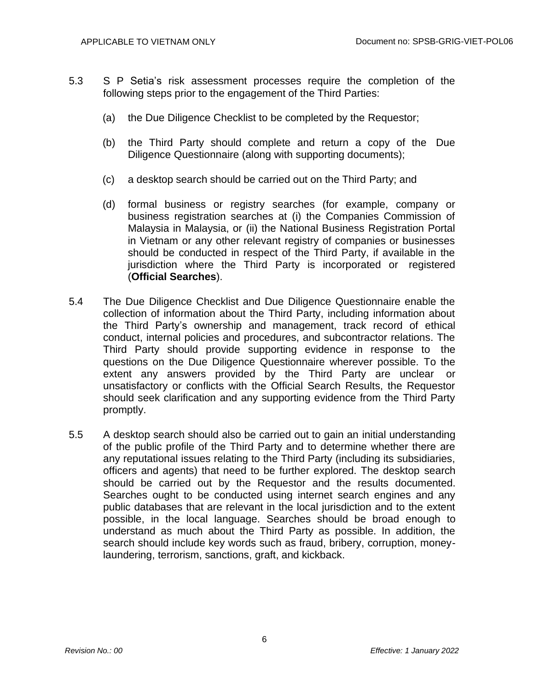- 5.3 S P Setia's risk assessment processes require the completion of the following steps prior to the engagement of the Third Parties:
	- (a) the Due Diligence Checklist to be completed by the Requestor;
	- (b) the Third Party should complete and return a copy of the Due Diligence Questionnaire (along with supporting documents);
	- (c) a desktop search should be carried out on the Third Party; and
	- (d) formal business or registry searches (for example, company or business registration searches at (i) the Companies Commission of Malaysia in Malaysia, or (ii) the National Business Registration Portal in Vietnam or any other relevant registry of companies or businesses should be conducted in respect of the Third Party, if available in the jurisdiction where the Third Party is incorporated or registered (**Official Searches**).
- 5.4 The Due Diligence Checklist and Due Diligence Questionnaire enable the collection of information about the Third Party, including information about the Third Party's ownership and management, track record of ethical conduct, internal policies and procedures, and subcontractor relations. The Third Party should provide supporting evidence in response to the questions on the Due Diligence Questionnaire wherever possible. To the extent any answers provided by the Third Party are unclear or unsatisfactory or conflicts with the Official Search Results, the Requestor should seek clarification and any supporting evidence from the Third Party promptly.
- 5.5 A desktop search should also be carried out to gain an initial understanding of the public profile of the Third Party and to determine whether there are any reputational issues relating to the Third Party (including its subsidiaries, officers and agents) that need to be further explored. The desktop search should be carried out by the Requestor and the results documented. Searches ought to be conducted using internet search engines and any public databases that are relevant in the local jurisdiction and to the extent possible, in the local language. Searches should be broad enough to understand as much about the Third Party as possible. In addition, the search should include key words such as fraud, bribery, corruption, moneylaundering, terrorism, sanctions, graft, and kickback.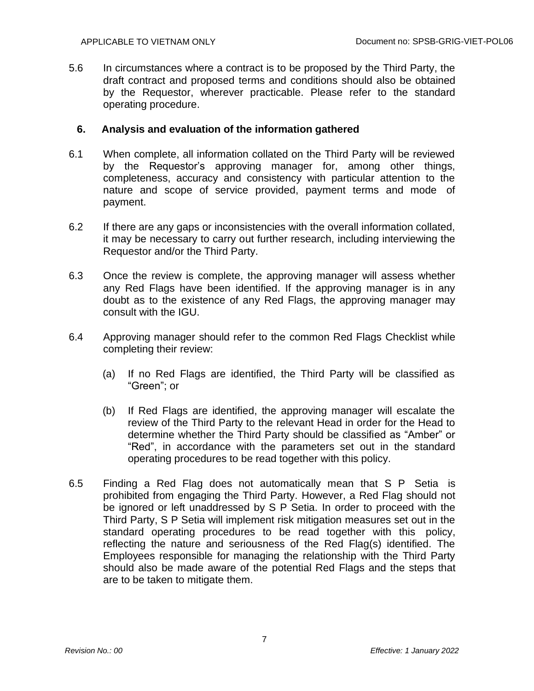5.6 In circumstances where a contract is to be proposed by the Third Party, the draft contract and proposed terms and conditions should also be obtained by the Requestor, wherever practicable. Please refer to the standard operating procedure.

## **6. Analysis and evaluation of the information gathered**

- 6.1 When complete, all information collated on the Third Party will be reviewed by the Requestor's approving manager for, among other things, completeness, accuracy and consistency with particular attention to the nature and scope of service provided, payment terms and mode of payment.
- 6.2 If there are any gaps or inconsistencies with the overall information collated, it may be necessary to carry out further research, including interviewing the Requestor and/or the Third Party.
- 6.3 Once the review is complete, the approving manager will assess whether any Red Flags have been identified. If the approving manager is in any doubt as to the existence of any Red Flags, the approving manager may consult with the IGU.
- 6.4 Approving manager should refer to the common Red Flags Checklist while completing their review:
	- (a) If no Red Flags are identified, the Third Party will be classified as "Green"; or
	- (b) If Red Flags are identified, the approving manager will escalate the review of the Third Party to the relevant Head in order for the Head to determine whether the Third Party should be classified as "Amber" or "Red", in accordance with the parameters set out in the standard operating procedures to be read together with this policy.
- 6.5 Finding a Red Flag does not automatically mean that S P Setia is prohibited from engaging the Third Party. However, a Red Flag should not be ignored or left unaddressed by S P Setia. In order to proceed with the Third Party, S P Setia will implement risk mitigation measures set out in the standard operating procedures to be read together with this policy, reflecting the nature and seriousness of the Red Flag(s) identified. The Employees responsible for managing the relationship with the Third Party should also be made aware of the potential Red Flags and the steps that are to be taken to mitigate them.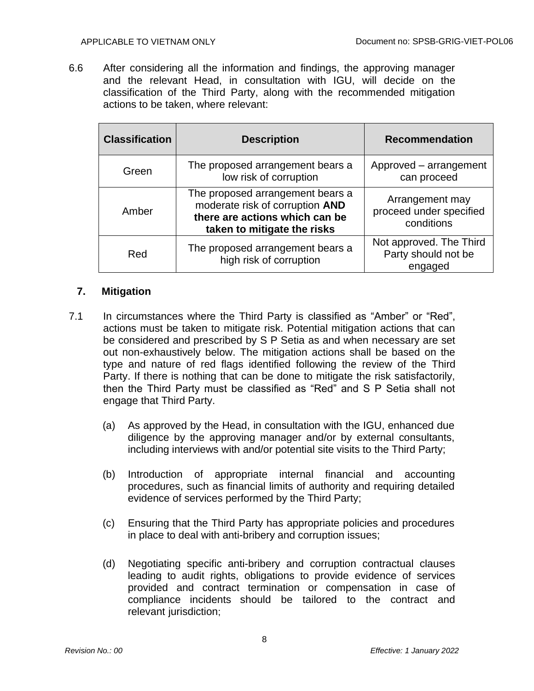6.6 After considering all the information and findings, the approving manager and the relevant Head, in consultation with IGU, will decide on the classification of the Third Party, along with the recommended mitigation actions to be taken, where relevant:

| <b>Classification</b> | <b>Description</b>                                                                                                                   | <b>Recommendation</b>                                     |
|-----------------------|--------------------------------------------------------------------------------------------------------------------------------------|-----------------------------------------------------------|
| Green                 | The proposed arrangement bears a<br>low risk of corruption                                                                           | Approved – arrangement<br>can proceed                     |
| Amber                 | The proposed arrangement bears a<br>moderate risk of corruption AND<br>there are actions which can be<br>taken to mitigate the risks | Arrangement may<br>proceed under specified<br>conditions  |
| Red                   | The proposed arrangement bears a<br>high risk of corruption                                                                          | Not approved. The Third<br>Party should not be<br>engaged |

## **7. Mitigation**

- 7.1 In circumstances where the Third Party is classified as "Amber" or "Red", actions must be taken to mitigate risk. Potential mitigation actions that can be considered and prescribed by S P Setia as and when necessary are set out non-exhaustively below. The mitigation actions shall be based on the type and nature of red flags identified following the review of the Third Party. If there is nothing that can be done to mitigate the risk satisfactorily, then the Third Party must be classified as "Red" and S P Setia shall not engage that Third Party.
	- (a) As approved by the Head, in consultation with the IGU, enhanced due diligence by the approving manager and/or by external consultants, including interviews with and/or potential site visits to the Third Party;
	- (b) Introduction of appropriate internal financial and accounting procedures, such as financial limits of authority and requiring detailed evidence of services performed by the Third Party;
	- (c) Ensuring that the Third Party has appropriate policies and procedures in place to deal with anti-bribery and corruption issues;
	- (d) Negotiating specific anti-bribery and corruption contractual clauses leading to audit rights, obligations to provide evidence of services provided and contract termination or compensation in case of compliance incidents should be tailored to the contract and relevant jurisdiction;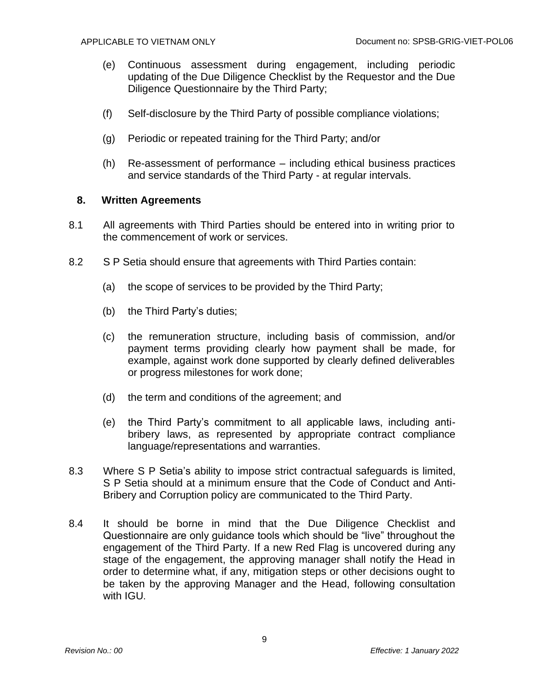- (e) Continuous assessment during engagement, including periodic updating of the Due Diligence Checklist by the Requestor and the Due Diligence Questionnaire by the Third Party;
- (f) Self-disclosure by the Third Party of possible compliance violations;
- (g) Periodic or repeated training for the Third Party; and/or
- (h) Re-assessment of performance including ethical business practices and service standards of the Third Party - at regular intervals.

## **8. Written Agreements**

- 8.1 All agreements with Third Parties should be entered into in writing prior to the commencement of work or services.
- 8.2 S P Setia should ensure that agreements with Third Parties contain:
	- (a) the scope of services to be provided by the Third Party;
	- (b) the Third Party's duties;
	- (c) the remuneration structure, including basis of commission, and/or payment terms providing clearly how payment shall be made, for example, against work done supported by clearly defined deliverables or progress milestones for work done;
	- (d) the term and conditions of the agreement; and
	- (e) the Third Party's commitment to all applicable laws, including antibribery laws, as represented by appropriate contract compliance language/representations and warranties.
- 8.3 Where S P Setia's ability to impose strict contractual safeguards is limited, S P Setia should at a minimum ensure that the Code of Conduct and Anti-Bribery and Corruption policy are communicated to the Third Party.
- 8.4 It should be borne in mind that the Due Diligence Checklist and Questionnaire are only guidance tools which should be "live" throughout the engagement of the Third Party. If a new Red Flag is uncovered during any stage of the engagement, the approving manager shall notify the Head in order to determine what, if any, mitigation steps or other decisions ought to be taken by the approving Manager and the Head, following consultation with IGU.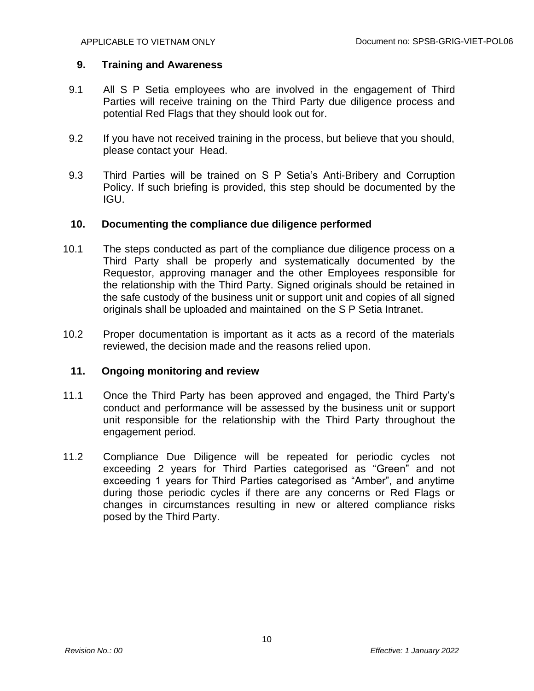## **9. Training and Awareness**

- 9.1 All S P Setia employees who are involved in the engagement of Third Parties will receive training on the Third Party due diligence process and potential Red Flags that they should look out for.
- 9.2 If you have not received training in the process, but believe that you should, please contact your Head.
- 9.3 Third Parties will be trained on S P Setia's Anti-Bribery and Corruption Policy. If such briefing is provided, this step should be documented by the IGU.

#### **10. Documenting the compliance due diligence performed**

- 10.1 The steps conducted as part of the compliance due diligence process on a Third Party shall be properly and systematically documented by the Requestor, approving manager and the other Employees responsible for the relationship with the Third Party. Signed originals should be retained in the safe custody of the business unit or support unit and copies of all signed originals shall be uploaded and maintained on the S P Setia Intranet.
- 10.2 Proper documentation is important as it acts as a record of the materials reviewed, the decision made and the reasons relied upon.

## **11. Ongoing monitoring and review**

- 11.1 Once the Third Party has been approved and engaged, the Third Party's conduct and performance will be assessed by the business unit or support unit responsible for the relationship with the Third Party throughout the engagement period.
- 11.2 Compliance Due Diligence will be repeated for periodic cycles not exceeding 2 years for Third Parties categorised as "Green" and not exceeding 1 years for Third Parties categorised as "Amber", and anytime during those periodic cycles if there are any concerns or Red Flags or changes in circumstances resulting in new or altered compliance risks posed by the Third Party.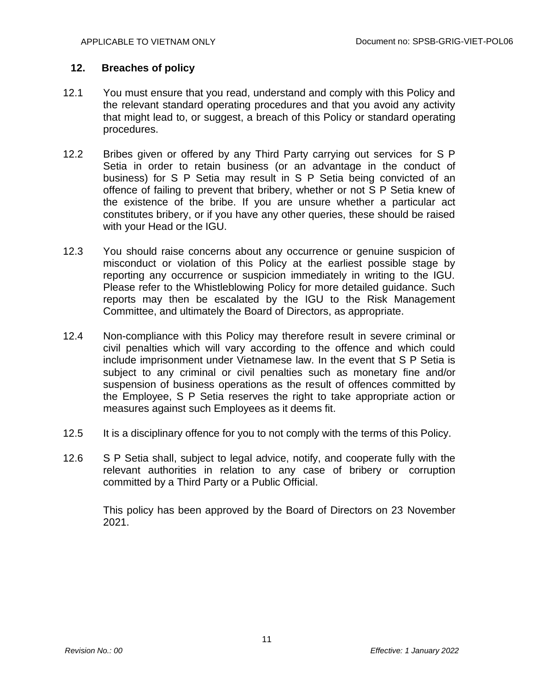## **12. Breaches of policy**

- 12.1 You must ensure that you read, understand and comply with this Policy and the relevant standard operating procedures and that you avoid any activity that might lead to, or suggest, a breach of this Policy or standard operating procedures.
- 12.2 Bribes given or offered by any Third Party carrying out services for S P Setia in order to retain business (or an advantage in the conduct of business) for S P Setia may result in S P Setia being convicted of an offence of failing to prevent that bribery, whether or not S P Setia knew of the existence of the bribe. If you are unsure whether a particular act constitutes bribery, or if you have any other queries, these should be raised with your Head or the IGU.
- 12.3 You should raise concerns about any occurrence or genuine suspicion of misconduct or violation of this Policy at the earliest possible stage by reporting any occurrence or suspicion immediately in writing to the IGU. Please refer to the Whistleblowing Policy for more detailed guidance. Such reports may then be escalated by the IGU to the Risk Management Committee, and ultimately the Board of Directors, as appropriate.
- 12.4 Non-compliance with this Policy may therefore result in severe criminal or civil penalties which will vary according to the offence and which could include imprisonment under Vietnamese law. In the event that S P Setia is subject to any criminal or civil penalties such as monetary fine and/or suspension of business operations as the result of offences committed by the Employee, S P Setia reserves the right to take appropriate action or measures against such Employees as it deems fit.
- 12.5 It is a disciplinary offence for you to not comply with the terms of this Policy.
- 12.6 S P Setia shall, subject to legal advice, notify, and cooperate fully with the relevant authorities in relation to any case of bribery or corruption committed by a Third Party or a Public Official.

This policy has been approved by the Board of Directors on 23 November 2021.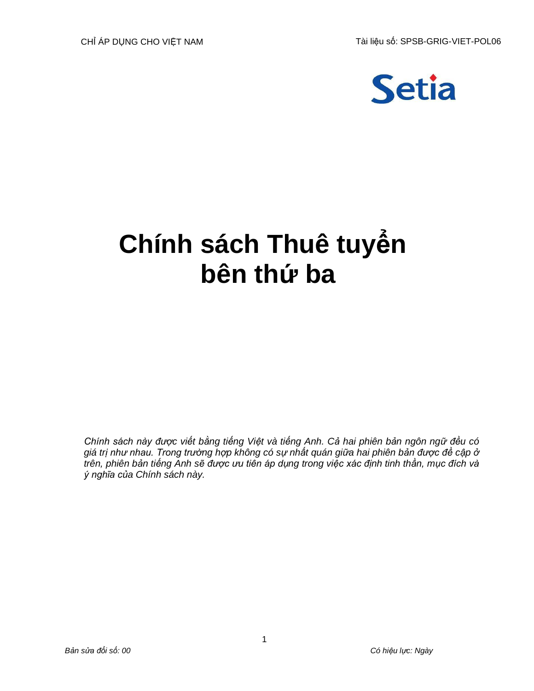

# **Chính sách Thuê tuyển bên thứ ba**

*Chính sách này được viết bằng tiếng Việt và tiếng Anh. Cả hai phiên bản ngôn ngữ đều có giá trị như nhau. Trong trường hợp không có sự nhất quán giữa hai phiên bản được đề cập ở trên, phiên bản tiếng Anh sẽ được ưu tiên áp dụng trong việc xác định tinh thần, mục đích và ý nghĩa của Chính sách này.*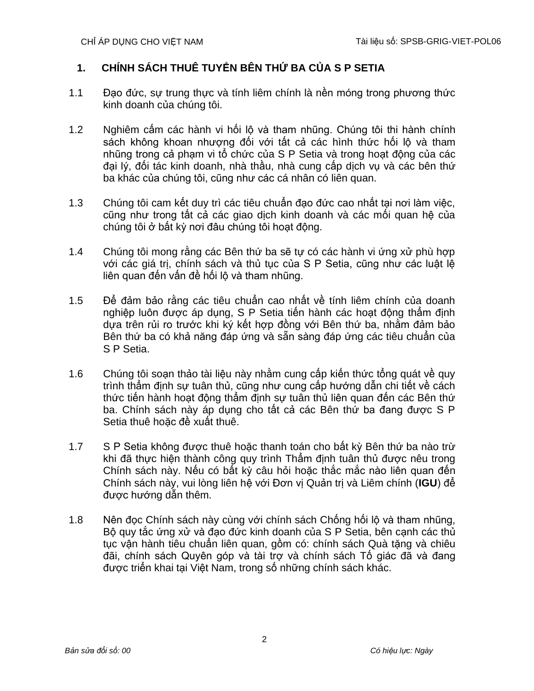## **1. CHÍNH SÁCH THUÊ TUYỂN BÊN THỨ BA CỦA S P SETIA**

- 1.1 Đạo đức, sự trung thực và tính liêm chính là nền móng trong phương thức kinh doanh của chúng tôi.
- 1.2 Nghiêm cấm các hành vi hối lộ và tham nhũng. Chúng tôi thi hành chính sách không khoan nhượng đối với tất cả các hình thức hối lộ và tham nhũng trong cả phạm vi tổ chức của S P Setia và trong hoạt động của các đại lý, đối tác kinh doanh, nhà thầu, nhà cung cấp dịch vụ và các bên thứ ba khác của chúng tôi, cũng như các cá nhân có liên quan.
- 1.3 Chúng tôi cam kết duy trì các tiêu chuẩn đạo đức cao nhất tại nơi làm việc, cũng như trong tất cả các giao dịch kinh doanh và các mối quan hệ của chúng tôi ở bất kỳ nơi đâu chúng tôi hoạt động.
- 1.4 Chúng tôi mong rằng các Bên thứ ba sẽ tự có các hành vi ứng xử phù hợp với các giá trị, chính sách và thủ tục của S P Setia, cũng như các luật lệ liên quan đến vấn đề hối lộ và tham nhũng.
- 1.5 Để đảm bảo rằng các tiêu chuẩn cao nhất về tính liêm chính của doanh nghiệp luôn được áp dụng, S P Setia tiến hành các hoạt động thẩm định dựa trên rủi ro trước khi ký kết hợp đồng với Bên thứ ba, nhằm đảm bảo Bên thứ ba có khả năng đáp ứng và sẵn sàng đáp ứng các tiêu chuẩn của S P Setia.
- 1.6 Chúng tôi soạn thảo tài liệu này nhằm cung cấp kiến thức tổng quát về quy trình thẩm định sự tuân thủ, cũng như cung cấp hướng dẫn chi tiết về cách thức tiến hành hoạt động thẩm định sự tuân thủ liên quan đến các Bên thứ ba. Chính sách này áp dụng cho tất cả các Bên thứ ba đang được S P Setia thuê hoặc đề xuất thuê.
- 1.7 S P Setia không được thuê hoặc thanh toán cho bất kỳ Bên thứ ba nào trừ khi đã thực hiện thành công quy trình Thẩm định tuân thủ được nêu trong Chính sách này. Nếu có bất kỳ câu hỏi hoặc thắc mắc nào liên quan đến Chính sách này, vui lòng liên hệ với Đơn vị Quản trị và Liêm chính (**IGU**) để được hướng dẫn thêm.
- 1.8 Nên đọc Chính sách này cùng với chính sách Chống hối lộ và tham nhũng, Bộ quy tắc ứng xử và đạo đức kinh doanh của S P Setia, bên cạnh các thủ tục vận hành tiêu chuẩn liên quan, gồm có: chính sách Quà tặng và chiêu đãi, chính sách Quyên góp và tài trợ và chính sách Tố giác đã và đang được triển khai tại Việt Nam, trong số những chính sách khác.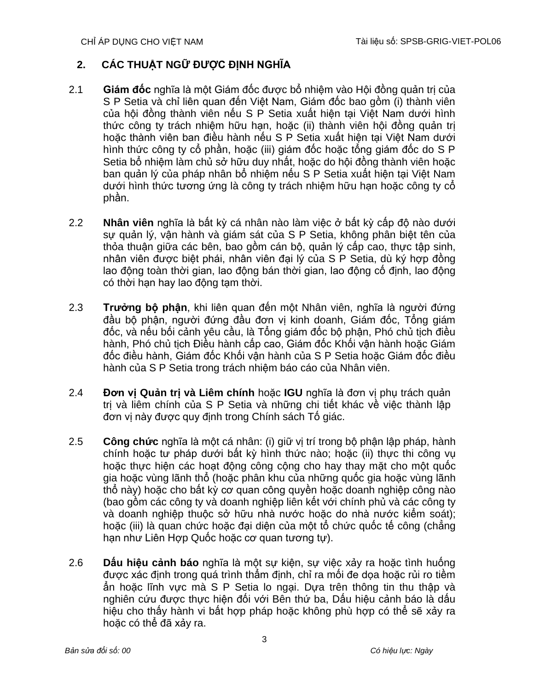## **2. CÁC THUẬT NGỮ ĐƯỢC ĐỊNH NGHĨA**

- 2.1 **Giám đốc** nghĩa là một Giám đốc được bổ nhiệm vào Hội đồng quản trị của S P Setia và chỉ liên quan đến Việt Nam, Giám đốc bao gồm (i) thành viên của hội đồng thành viên nếu S P Setia xuất hiện tại Việt Nam dưới hình thức công ty trách nhiệm hữu hạn, hoặc (ii) thành viên hội đồng quản trị hoặc thành viên ban điều hành nếu S P Setia xuất hiện tại Việt Nam dưới hình thức công ty cổ phần, hoặc (iii) giám đốc hoặc tổng giám đốc do S P Setia bổ nhiệm làm chủ sở hữu duy nhất, hoặc do hội đồng thành viên hoặc ban quản lý của pháp nhân bổ nhiệm nếu S P Setia xuất hiện tại Việt Nam dưới hình thức tương ứng là công ty trách nhiệm hữu hạn hoặc công ty cổ phần.
- 2.2 **Nhân viên** nghĩa là bất kỳ cá nhân nào làm việc ở bất kỳ cấp độ nào dưới sự quản lý, vận hành và giám sát của S P Setia, không phân biệt tên của thỏa thuận giữa các bên, bao gồm cán bộ, quản lý cấp cao, thực tập sinh, nhân viên được biệt phái, nhân viên đại lý của S P Setia, dù ký hợp đồng lao động toàn thời gian, lao động bán thời gian, lao động cố định, lao động có thời hạn hay lao động tạm thời.
- 2.3 **Trưởng bộ phận**, khi liên quan đến một Nhân viên, nghĩa là người đứng đầu bộ phận, người đứng đầu đơn vị kinh doanh, Giám đốc, Tổng giám đốc, và nếu bối cảnh yêu cầu, là Tổng giám đốc bộ phận, Phó chủ tịch điều hành, Phó chủ tịch Điều hành cấp cao, Giám đốc Khối vận hành hoặc Giám đốc điều hành, Giám đốc Khối vận hành của S P Setia hoặc Giám đốc điều hành của S P Setia trong trách nhiệm báo cáo của Nhân viên.
- 2.4 **Đơn vị Quản trị và Liêm chính** hoặc **IGU** nghĩa là đơn vị phụ trách quản trị và liêm chính của S P Setia và những chi tiết khác về việc thành lập đơn vị này được quy định trong Chính sách Tố giác.
- 2.5 **Công chức** nghĩa là một cá nhân: (i) giữ vị trí trong bộ phận lập pháp, hành chính hoặc tư pháp dưới bất kỳ hình thức nào; hoặc (ii) thực thi công vụ hoặc thực hiện các hoạt động công cộng cho hay thay mặt cho một quốc gia hoặc vùng lãnh thổ (hoặc phân khu của những quốc gia hoặc vùng lãnh thổ này) hoặc cho bất kỳ cơ quan công quyền hoặc doanh nghiệp công nào (bao gồm các công ty và doanh nghiệp liên kết với chính phủ và các công ty và doanh nghiệp thuộc sở hữu nhà nước hoặc do nhà nước kiểm soát); hoặc (iii) là quan chức hoặc đại diện của một tổ chức quốc tế công (chẳng hạn như Liên Hợp Quốc hoặc cơ quan tương tự).
- 2.6 **Dấu hiệu cảnh báo** nghĩa là một sự kiện, sự việc xảy ra hoặc tình huống được xác định trong quá trình thẩm định, chỉ ra mối đe dọa hoặc rủi ro tiềm ẩn hoặc lĩnh vực mà S P Setia lo ngại. Dựa trên thông tin thu thập và nghiên cứu được thực hiện đối với Bên thứ ba, Dấu hiệu cảnh báo là dấu hiệu cho thấy hành vị bất hợp pháp hoặc không phù hợp có thể sẽ xảy ra hoặc có thể đã xảy ra.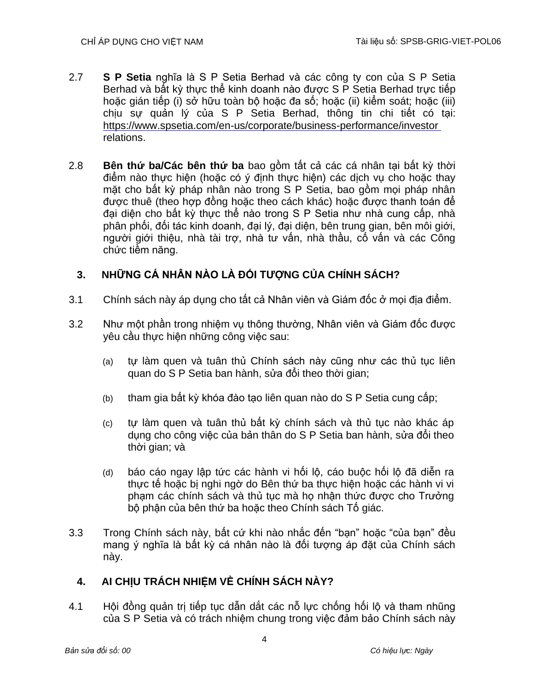- 2.7 **S P Setia** nghĩa là S P Setia Berhad và các công ty con của S P Setia Berhad và bất kỳ thực thể kinh doanh nào được S P Setia Berhad trực tiếp hoặc gián tiếp (i) sở hữu toàn bộ hoặc đa số; hoặc (ii) kiểm soát; hoặc (iii) chịu sự quản lý của S P Setia Berhad, thông tin chi tiết có tại: <https://www.spsetia.com/en-us/corporate/business-performance/investor> relations.
- 2.8 **Bên thứ ba/Các bên thứ ba** bao gồm tất cả các cá nhân tại bất kỳ thời điểm nào thực hiện (hoặc có ý định thực hiện) các dịch vụ cho hoặc thay mặt cho bất kỳ pháp nhân nào trong S P Setia, bao gồm mọi pháp nhân được thuê (theo hợp đồng hoặc theo cách khác) hoặc được thanh toán để đại diện cho bất kỳ thực thể nào trong S P Setia như nhà cung cấp, nhà phân phối, đối tác kinh doanh, đại lý, đại diện, bên trung gian, bên môi giới, người giới thiệu, nhà tài trợ, nhà tư vấn, nhà thầu, cố vấn và các Công chức tiềm năng.

## **3. NHỮNG CÁ NHÂN NÀO LÀ ĐỐI TƯỢNG CỦA CHÍNH SÁCH?**

- 3.1 Chính sách này áp dụng cho tất cả Nhân viên và Giám đốc ở mọi địa điểm.
- 3.2 Như một phần trong nhiệm vụ thông thường, Nhân viên và Giám đốc được yêu cầu thực hiện những công việc sau:
	- (a) tự làm quen và tuân thủ Chính sách này cũng như các thủ tục liên quan do S P Setia ban hành, sửa đổi theo thời gian;
	- (b) tham gia bất kỳ khóa đào tạo liên quan nào do S P Setia cung cấp;
	- (c) tự làm quen và tuân thủ bất kỳ chính sách và thủ tục nào khác áp dụng cho công việc của bản thân do S P Setia ban hành, sửa đổi theo thời gian; và
	- (d) báo cáo ngay lập tức các hành vi hối lộ, cáo buộc hối lộ đã diễn ra thực tế hoặc bị nghi ngờ do Bên thứ ba thực hiện hoặc các hành vi vi phạm các chính sách và thủ tục mà họ nhận thức được cho Trưởng bộ phận của bên thứ ba hoặc theo Chính sách Tố giác.
- 3.3 Trong Chính sách này, bất cứ khi nào nhắc đến "bạn" hoặc "của bạn" đều mang ý nghĩa là bất kỳ cá nhân nào là đối tượng áp đặt của Chính sách này.

## **4. AI CHỊU TRÁCH NHIỆM VỀ CHÍNH SÁCH NÀY?**

4.1 Hội đồng quản trị tiếp tục dẫn dắt các nỗ lực chống hối lộ và tham nhũng của S P Setia và có trách nhiệm chung trong việc đảm bảo Chính sách này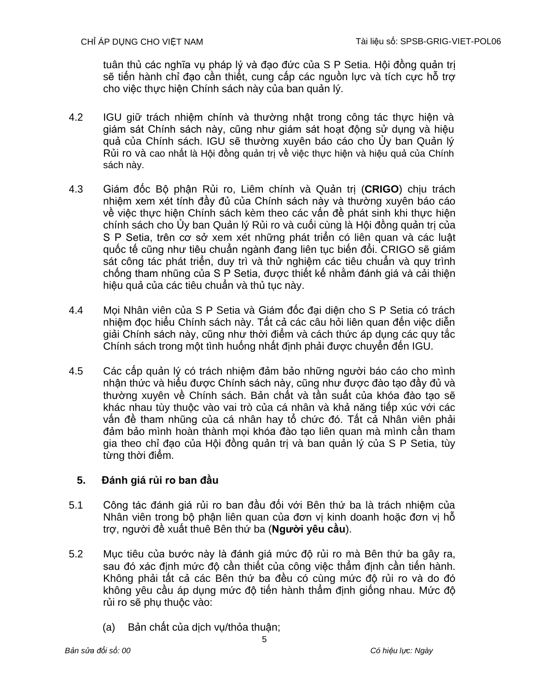tuân thủ các nghĩa vụ pháp lý và đạo đức của S P Setia. Hội đồng quản trị sẽ tiến hành chỉ đạo cần thiết, cung cấp các nguồn lực và tích cực hỗ trợ cho việc thực hiện Chính sách này của ban quản lý.

- 4.2 IGU giữ trách nhiệm chính và thường nhật trong công tác thực hiện và giám sát Chính sách này, cũng như giám sát hoạt động sử dụng và hiệu quả của Chính sách. IGU sẽ thường xuyên báo cáo cho Ủy ban Quản lý Rủi ro và cao nhất là Hội đồng quản trị về việc thực hiện và hiệu quả của Chính sách này.
- 4.3 Giám đốc Bộ phận Rủi ro, Liêm chính và Quản trị (**CRIGO**) chịu trách nhiệm xem xét tính đầy đủ của Chính sách này và thường xuyên báo cáo về việc thực hiện Chính sách kèm theo các vấn đề phát sinh khi thực hiện chính sách cho Ủy ban Quản lý Rủi ro và cuối cùng là Hội đồng quản trị của S P Setia, trên cơ sở xem xét những phát triển có liên quan và các luật quốc tế cũng như tiêu chuẩn ngành đang liên tục biến đổi. CRIGO sẽ giám sát công tác phát triển, duy trì và thử nghiệm các tiêu chuẩn và quy trình chống tham nhũng của S P Setia, được thiết kế nhằm đánh giá và cải thiện hiệu quả của các tiêu chuẩn và thủ tục này.
- 4.4 Mọi Nhân viên của S P Setia và Giám đốc đại diện cho S P Setia có trách nhiệm đọc hiểu Chính sách này. Tất cả các câu hỏi liên quan đến việc diễn giải Chính sách này, cũng như thời điểm và cách thức áp dụng các quy tắc Chính sách trong một tình huống nhất định phải được chuyển đến IGU.
- 4.5 Các cấp quản lý có trách nhiệm đảm bảo những người báo cáo cho mình nhận thức và hiểu được Chính sách này, cũng như được đào tạo đầy đủ và thường xuyên về Chính sách. Bản chất và tần suất của khóa đào tạo sẽ khác nhau tùy thuộc vào vai trò của cá nhân và khả năng tiếp xúc với các vấn đề tham nhũng của cá nhân hay tổ chức đó. Tất cả Nhân viên phải đảm bảo mình hoàn thành mọi khóa đào tạo liên quan mà mình cần tham gia theo chỉ đạo của Hội đồng quản trị và ban quản lý của S P Setia, tùy từng thời điểm.

## **5. Đánh giá rủi ro ban đầu**

- 5.1 Công tác đánh giá rủi ro ban đầu đối với Bên thứ ba là trách nhiệm của Nhân viên trong bộ phận liên quan của đơn vị kinh doanh hoặc đơn vị hỗ trợ, người đề xuất thuê Bên thứ ba (**Người yêu cầu**).
- 5.2 Mục tiêu của bước này là đánh giá mức độ rủi ro mà Bên thứ ba gây ra, sau đó xác định mức độ cần thiết của công việc thẩm định cần tiến hành. Không phải tất cả các Bên thứ ba đều có cùng mức độ rủi ro và do đó không yêu cầu áp dụng mức độ tiến hành thẩm định giống nhau. Mức độ rủi ro sẽ phụ thuộc vào:
	- (a) Bản chất của dịch vụ/thỏa thuận;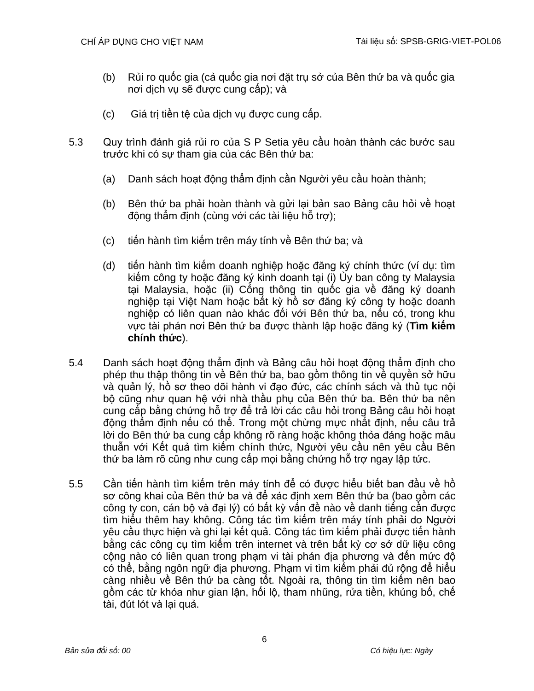- (b) Rủi ro quốc gia (cả quốc gia nơi đặt trụ sở của Bên thứ ba và quốc gia nơi dịch vụ sẽ được cung cấp); và
- (c) Giá trị tiền tệ của dịch vụ được cung cấp.
- 5.3 Quy trình đánh giá rủi ro của S P Setia yêu cầu hoàn thành các bước sau trước khi có sự tham gia của các Bên thứ ba:
	- (a) Danh sách hoạt động thẩm định cần Người yêu cầu hoàn thành;
	- (b) Bên thứ ba phải hoàn thành và gửi lại bản sao Bảng câu hỏi về hoạt động thẩm định (cùng với các tài liệu hỗ trợ);
	- (c) tiến hành tìm kiếm trên máy tính về Bên thứ ba; và
	- (d) tiến hành tìm kiếm doanh nghiệp hoặc đăng ký chính thức (ví dụ: tìm kiếm công ty hoặc đăng ký kinh doanh tại (i) Ủy ban công ty Malaysia tại Malaysia, hoặc (ii) Cổng thông tin quốc gia về đăng ký doanh nghiệp tại Việt Nam hoặc bất kỳ hồ sơ đăng ký công ty hoặc doanh nghiệp có liên quan nào khác đối với Bên thứ ba, nếu có, trong khu vực tài phán nơi Bên thứ ba được thành lập hoặc đăng ký (**Tìm kiếm chính thức**).
- 5.4 Danh sách hoạt động thẩm định và Bảng câu hỏi hoạt động thẩm định cho phép thu thập thông tin về Bên thứ ba, bao gồm thông tin về quyền sở hữu và quản lý, hồ sơ theo dõi hành vi đạo đức, các chính sách và thủ tục nội bộ cũng như quan hệ với nhà thầu phụ của Bên thứ ba. Bên thứ ba nên cung cấp bằng chứng hỗ trợ để trả lời các câu hỏi trong Bảng câu hỏi hoạt động thẩm định nếu có thể. Trong một chừng mực nhất định, nếu câu trả lời do Bên thứ ba cung cấp không rõ ràng hoặc không thỏa đáng hoặc mâu thuẫn với Kết quả tìm kiếm chính thức, Người yêu cầu nên yêu cầu Bên thứ ba làm rõ cũng như cung cấp mọi bằng chứng hỗ trợ ngay lập tức.
- 5.5 Cần tiến hành tìm kiếm trên máy tính để có được hiểu biết ban đầu về hồ sơ công khai của Bên thứ ba và để xác định xem Bên thứ ba (bao gồm các công ty con, cán bộ và đại lý) có bất kỳ vấn đề nào về danh tiếng cần được tìm hiểu thêm hay không. Công tác tìm kiếm trên máy tính phải do Người yêu cầu thực hiện và ghi lại kết quả. Công tác tìm kiếm phải được tiến hành bằng các công cụ tìm kiếm trên internet và trên bất kỳ cơ sở dữ liệu công cộng nào có liên quan trong phạm vi tài phán địa phương và đến mức độ có thể, bằng ngôn ngữ địa phương. Phạm vi tìm kiếm phải đủ rộng để hiểu càng nhiều về Bên thứ ba càng tốt. Ngoài ra, thông tin tìm kiếm nên bao gồm các từ khóa như gian lận, hối lộ, tham nhũng, rửa tiền, khủng bố, chế tài, đút lót và lại quả.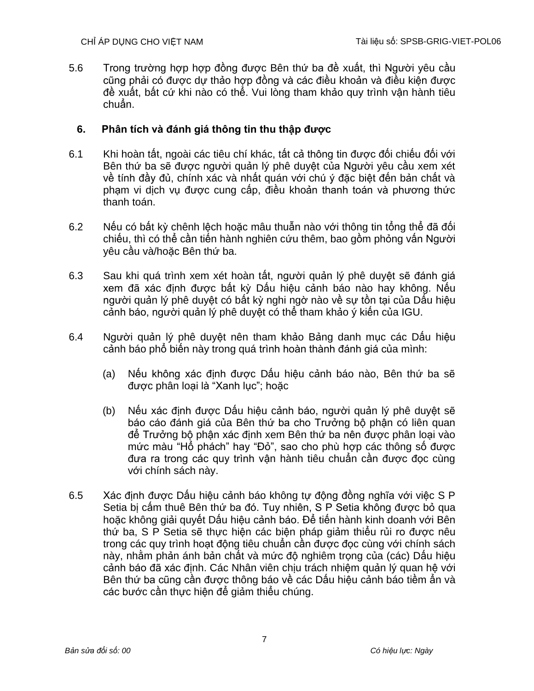5.6 Trong trường hợp hợp đồng được Bên thứ ba đề xuất, thì Người yêu cầu cũng phải có được dự thảo hợp đồng và các điều khoản và điều kiện được đề xuất, bất cứ khi nào có thể. Vui lòng tham khảo quy trình vận hành tiêu chuẩn.

## **6. Phân tích và đánh giá thông tin thu thập được**

- 6.1 Khi hoàn tất, ngoài các tiêu chí khác, tất cả thông tin được đối chiếu đối với Bên thứ ba sẽ được người quản lý phê duyệt của Người yêu cầu xem xét về tính đầy đủ, chính xác và nhất quán với chú ý đặc biệt đến bản chất và phạm vi dịch vụ được cung cấp, điều khoản thanh toán và phương thức thanh toán.
- 6.2 Nếu có bất kỳ chênh lệch hoặc mâu thuẫn nào với thông tin tổng thể đã đối chiếu, thì có thể cần tiến hành nghiên cứu thêm, bao gồm phỏng vấn Người yêu cầu và/hoặc Bên thứ ba.
- 6.3 Sau khi quá trình xem xét hoàn tất, người quản lý phê duyệt sẽ đánh giá xem đã xác định được bất kỳ Dấu hiệu cảnh báo nào hay không. Nếu người quản lý phê duyệt có bất kỳ nghi ngờ nào về sự tồn tại của Dấu hiệu cảnh báo, người quản lý phê duyệt có thể tham khảo ý kiến của IGU.
- 6.4 Người quản lý phê duyệt nên tham khảo Bảng danh mục các Dấu hiệu cảnh báo phổ biến này trong quá trình hoàn thành đánh giá của mình:
	- (a) Nếu không xác định được Dấu hiệu cảnh báo nào, Bên thứ ba sẽ được phân loại là "Xanh lục"; hoặc
	- (b) Nếu xác định được Dấu hiệu cảnh báo, người quản lý phê duyệt sẽ báo cáo đánh giá của Bên thứ ba cho Trưởng bộ phận có liên quan để Trưởng bộ phận xác định xem Bên thứ ba nên được phân loại vào mức màu "Hổ phách" hay "Đỏ", sao cho phù hợp các thông số được đưa ra trong các quy trình vận hành tiêu chuẩn cần được đọc cùng với chính sách này.
- 6.5 Xác định được Dấu hiệu cảnh báo không tự động đồng nghĩa với việc S P Setia bị cấm thuê Bên thứ ba đó. Tuy nhiên, S P Setia không được bỏ qua hoặc không giải quyết Dấu hiệu cảnh báo. Để tiến hành kinh doanh với Bên thứ ba, S P Setia sẽ thực hiện các biện pháp giảm thiểu rủi ro được nêu trong các quy trình hoạt động tiêu chuẩn cần được đọc cùng với chính sách này, nhằm phản ánh bản chất và mức độ nghiêm trọng của (các) Dấu hiệu cảnh báo đã xác định. Các Nhân viên chịu trách nhiệm quản lý quan hệ với Bên thứ ba cũng cần được thông báo về các Dấu hiệu cảnh báo tiềm ẩn và các bước cần thực hiện để giảm thiểu chúng.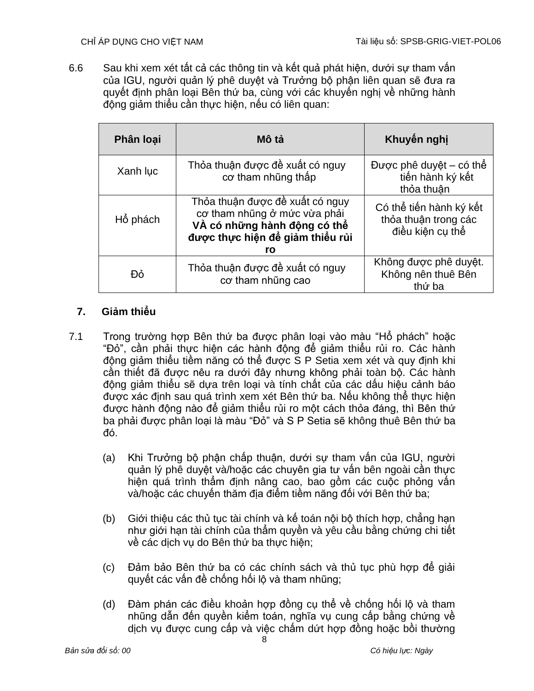6.6 Sau khi xem xét tất cả các thông tin và kết quả phát hiện, dưới sự tham vấn của IGU, người quản lý phê duyệt và Trưởng bộ phận liên quan sẽ đưa ra quyết định phân loại Bên thứ ba, cùng với các khuyến nghị về những hành động giảm thiểu cần thực hiện, nếu có liên quan:

| Phân loại | Mô tả                                                                                                                                     | Khuyển nghị                                                         |
|-----------|-------------------------------------------------------------------------------------------------------------------------------------------|---------------------------------------------------------------------|
| Xanh luc  | Thỏa thuận được đề xuất có nguy<br>cơ tham những thấp                                                                                     | Được phê duyệt – có thể<br>tiến hành ký kết<br>thỏa thuân           |
| Hổ phách  | Thỏa thuận được đề xuất có nguy<br>cơ tham nhũng ở mức vừa phải<br>VÀ có những hành động có thể<br>được thực hiện để giảm thiểu rủi<br>ro | Có thể tiến hành ký kết<br>thỏa thuận trong các<br>điều kiên cu thể |
| Đỏ        | Thỏa thuận được đề xuất có nguy<br>co tham nhũng cao                                                                                      | Không được phê duyệt.<br>Không nên thuê Bên<br>thứ ba               |

## **7. Giảm thiểu**

- 7.1 Trong trường hợp Bên thứ ba được phân loại vào màu "Hổ phách" hoặc "Đỏ", cần phải thực hiện các hành động để giảm thiểu rủi ro. Các hành động giảm thiểu tiềm năng có thể được S P Setia xem xét và quy định khi cần thiết đã được nêu ra dưới đây nhưng không phải toàn bộ. Các hành động giảm thiểu sẽ dựa trên loại và tính chất của các dấu hiệu cảnh báo được xác định sau quá trình xem xét Bên thứ ba. Nếu không thể thực hiện được hành động nào để giảm thiểu rủi ro một cách thỏa đáng, thì Bên thứ ba phải được phân loại là màu "Đỏ" và S P Setia sẽ không thuê Bên thứ ba đó.
	- (a) Khi Trưởng bộ phận chấp thuận, dưới sự tham vấn của IGU, người quản lý phê duyệt và/hoặc các chuyên gia tư vấn bên ngoài cần thực hiện quá trình thẩm định nâng cao, bao gồm các cuộc phỏng vấn và/hoặc các chuyến thăm địa điểm tiềm năng đối với Bên thứ ba;
	- (b) Giới thiệu các thủ tục tài chính và kế toán nội bộ thích hợp, chẳng hạn như giới hạn tài chính của thẩm quyền và yêu cầu bằng chứng chi tiết về các dịch vụ do Bên thứ ba thực hiện;
	- (c) Đảm bảo Bên thứ ba có các chính sách và thủ tục phù hợp để giải quyết các vấn đề chống hối lộ và tham nhũng;
	- (d) Đàm phán các điều khoản hợp đồng cụ thể về chống hối lộ và tham nhũng dẫn đến quyền kiểm toán, nghĩa vụ cung cấp bằng chứng về dịch vụ được cung cấp và việc chấm dứt hợp đồng hoặc bồi thường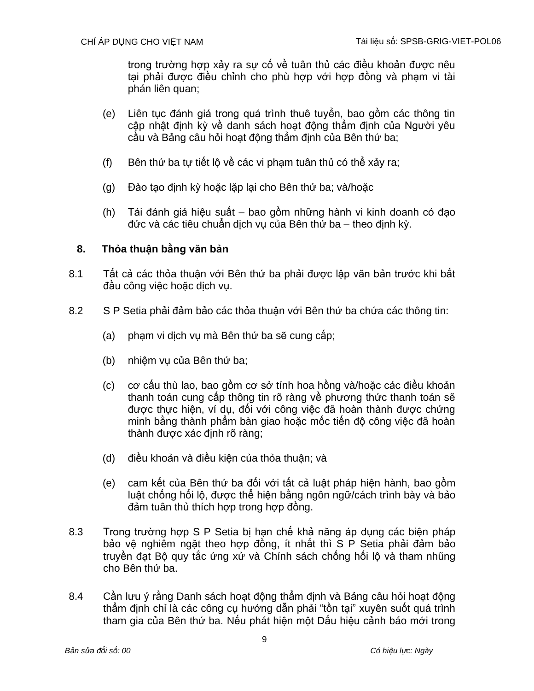trong trường hợp xảy ra sự cố về tuân thủ các điều khoản được nêu tại phải được điều chỉnh cho phù hợp với hợp đồng và phạm vi tài phán liên quan;

- (e) Liên tục đánh giá trong quá trình thuê tuyển, bao gồm các thông tin cập nhật định kỳ về danh sách hoạt động thẩm định của Người yêu cầu và Bảng câu hỏi hoạt động thẩm định của Bên thứ ba;
- (f) Bên thứ ba tự tiết lộ về các vi phạm tuân thủ có thể xảy ra;
- (g) Đào tạo định kỳ hoặc lặp lại cho Bên thứ ba; và/hoặc
- (h) Tái đánh giá hiệu suất bao gồm những hành vi kinh doanh có đạo đức và các tiêu chuẩn dịch vụ của Bên thứ ba – theo định kỳ.

## **8. Thỏa thuận bằng văn bản**

- 8.1 Tất cả các thỏa thuận với Bên thứ ba phải được lập văn bản trước khi bắt đầu công việc hoặc dịch vụ.
- 8.2 S P Setia phải đảm bảo các thỏa thuận với Bên thứ ba chứa các thông tin:
	- (a) phạm vi dịch vụ mà Bên thứ ba sẽ cung cấp;
	- (b) nhiệm vụ của Bên thứ ba;
	- (c) cơ cấu thù lao, bao gồm cơ sở tính hoa hồng và/hoặc các điều khoản thanh toán cung cấp thông tin rõ ràng về phương thức thanh toán sẽ được thực hiện, ví dụ, đối với công việc đã hoàn thành được chứng minh bằng thành phẩm bàn giao hoặc mốc tiến độ công việc đã hoàn thành được xác định rõ ràng;
	- (d) điều khoản và điều kiện của thỏa thuận; và
	- (e) cam kết của Bên thứ ba đối với tất cả luật pháp hiện hành, bao gồm luật chống hối lộ, được thể hiện bằng ngôn ngữ/cách trình bày và bảo đảm tuân thủ thích hợp trong hợp đồng.
- 8.3 Trong trường hợp S P Setia bị hạn chế khả năng áp dụng các biện pháp bảo vệ nghiêm ngặt theo hợp đồng, ít nhất thì S P Setia phải đảm bảo truyền đạt Bộ quy tắc ứng xử và Chính sách chống hối lộ và tham nhũng cho Bên thứ ba.
- 8.4 Cần lưu ý rằng Danh sách hoạt đông thẩm định và Bảng câu hỏi hoạt đông thẩm định chỉ là các công cụ hướng dẫn phải "tồn tại" xuyên suốt quá trình tham gia của Bên thứ ba. Nếu phát hiện một Dấu hiệu cảnh báo mới trong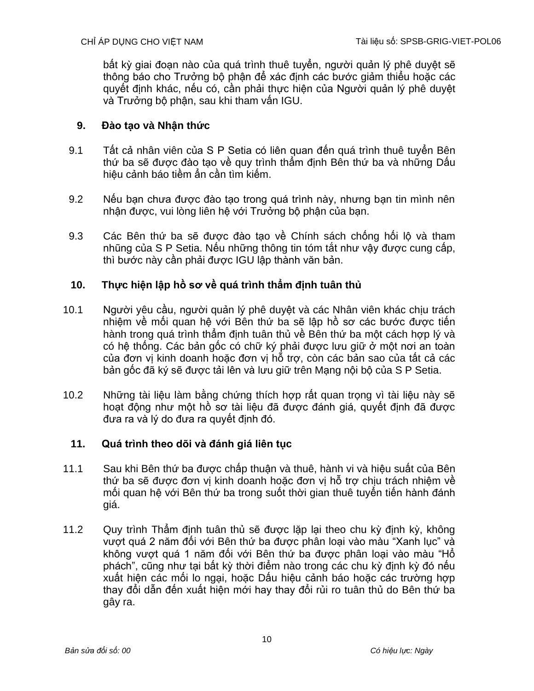bất kỳ giai đoạn nào của quá trình thuê tuyển, người quản lý phê duyệt sẽ thông báo cho Trưởng bộ phận để xác định các bước giảm thiểu hoặc các quyết định khác, nếu có, cần phải thực hiện của Người quản lý phê duyệt và Trưởng bộ phận, sau khi tham vấn IGU.

## **9. Đào tạo và Nhận thức**

- 9.1 Tất cả nhân viên của S P Setia có liên quan đến quá trình thuê tuyển Bên thứ ba sẽ được đào tạo về quy trình thẩm định Bên thứ ba và những Dấu hiệu cảnh báo tiềm ẩn cần tìm kiếm.
- 9.2 Nếu bạn chưa được đào tạo trong quá trình này, nhưng bạn tin mình nên nhận được, vui lòng liên hệ với Trưởng bộ phận của bạn.
- 9.3 Các Bên thứ ba sẽ được đào tạo về Chính sách chống hối lộ và tham nhũng của S P Setia. Nếu những thông tin tóm tắt như vậy được cung cấp, thì bước này cần phải được IGU lập thành văn bản.

## **10. Thực hiện lập hồ sơ về quá trình thẩm định tuân thủ**

- 10.1 Người yêu cầu, người quản lý phê duyệt và các Nhân viên khác chịu trách nhiệm về mối quan hệ với Bên thứ ba sẽ lập hồ sơ các bước được tiến hành trong quá trình thẩm định tuân thủ về Bên thứ ba một cách hợp lý và có hệ thống. Các bản gốc có chữ ký phải được lưu giữ ở một nơi an toàn của đơn vị kinh doanh hoặc đơn vị hỗ trợ, còn các bản sao của tất cả các bản gốc đã ký sẽ được tải lên và lưu giữ trên Mang nôi bộ của S P Setia.
- 10.2 Những tài liệu làm bằng chứng thích hợp rất quan trọng vì tài liệu này sẽ hoạt động như một hồ sơ tài liệu đã được đánh giá, quyết định đã được đưa ra và lý do đưa ra quyết định đó.

## **11. Quá trình theo dõi và đánh giá liên tục**

- 11.1 Sau khi Bên thứ ba được chấp thuận và thuê, hành vi và hiệu suất của Bên thứ ba sẽ được đơn vị kinh doanh hoặc đơn vị hỗ trợ chịu trách nhiệm về mối quan hệ với Bên thứ ba trong suốt thời gian thuê tuyển tiến hành đánh giá.
- 11.2 Quy trình Thẩm định tuân thủ sẽ được lặp lại theo chu kỳ định kỳ, không vượt quá 2 năm đối với Bên thứ ba được phân loại vào màu "Xanh lục" và không vượt quá 1 năm đối với Bên thứ ba được phân loại vào màu "Hổ phách", cũng như tại bất kỳ thời điểm nào trong các chu kỳ định kỳ đó nếu xuất hiện các mối lo ngại, hoặc Dấu hiệu cảnh báo hoặc các trường hợp thay đổi dẫn đến xuất hiện mới hay thay đổi rủi ro tuân thủ do Bên thứ ba gây ra.